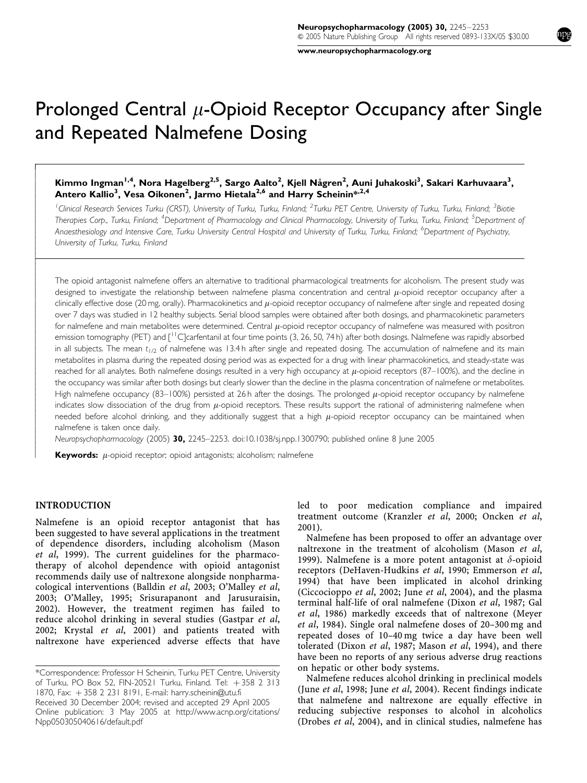www.neuropsychopharmacology.org

# Prolonged Central  $\mu$ -Opioid Receptor Occupancy after Single and Repeated Nalmefene Dosing

# Kimmo Ingman<sup>1,4</sup>, Nora Hagelberg<sup>2,5</sup>, Sargo Aalto<sup>2</sup>, Kjell Någren<sup>2</sup>, Auni Juhakoski<sup>3</sup>, Sakari Karhuvaara<sup>3</sup>, Antero Kallio<sup>3</sup>, Vesa Oikonen<sup>2</sup>, Jarmo Hietala<sup>2,6</sup> and Harry Scheinin<sup>\*,2,4</sup>

<sup>1</sup>Clinical Research Services Turku (CRST), University of Turku, Turku, Finland; <sup>2</sup>Turku PET Centre, University of Turku, Turku, Finland; <sup>3</sup>Biotie Therapies Corp., Turku, Finland; <sup>4</sup>Department of Pharmacology and Clinical Pharmacology, University of Turku, Turku, Finland; <sup>5</sup>Department of Anaesthesiology and Intensive Care, Turku University Central Hospital and University of Turku, Turku, Finland; <sup>6</sup>Department of Psychiatry, University of Turku, Turku, Finland

The opioid antagonist nalmefene offers an alternative to traditional pharmacological treatments for alcoholism. The present study was designed to investigate the relationship between nalmefene plasma concentration and central  $\mu$ -opioid receptor occupancy after a clinically effective dose (20 mg, orally). Pharmacokinetics and  $\mu$ -opioid receptor occupancy of nalmefene after single and repeated dosing over 7 days was studied in 12 healthy subjects. Serial blood samples were obtained after both dosings, and pharmacokinetic parameters for nalmefene and main metabolites were determined. Central  $\mu$ -opioid receptor occupancy of nalmefene was measured with positron emission tomography (PET) and  $\lceil \frac{11}{2} \rceil$ C carfentanil at four time points (3, 26, 50, 74 h) after both dosings. Nalmefene was rapidly absorbed in all subjects. The mean  $t_{1/2}$  of nalmefene was 13.4 h after single and repeated dosing. The accumulation of nalmefene and its main metabolites in plasma during the repeated dosing period was as expected for a drug with linear pharmacokinetics, and steady-state was reached for all analytes. Both nalmefene dosings resulted in a very high occupancy at  $\mu$ -opioid receptors (87–100%), and the decline in the occupancy was similar after both dosings but clearly slower than the decline in the plasma concentration of nalmefene or metabolites. High nalmefene occupancy (83–100%) persisted at 26 h after the dosings. The prolonged  $\mu$ -opioid receptor occupancy by nalmefene indicates slow dissociation of the drug from  $\mu$ -opioid receptors. These results support the rational of administering nalmefene when needed before alcohol drinking, and they additionally suggest that a high  $\mu$ -opioid receptor occupancy can be maintained when nalmefene is taken once daily.

Neuropsychopharmacology (2005) 30, 2245–2253. doi:10.1038/sj.npp.1300790; published online 8 June 2005

**Keywords:**  $\mu$ -opioid receptor; opioid antagonists; alcoholism; nalmefene

### INTRODUCTION

ŕ  $\overline{\phantom{a}}$  $\bigg\}$  $\bigg\}$  $\overline{\phantom{a}}$  $\overline{\phantom{a}}$  $\overline{\phantom{a}}$  $\bigg\}$  $\bigg\}$  $\overline{\phantom{a}}$  $\overline{\phantom{a}}$  $\overline{\phantom{a}}$  $\bigg\}$  $\bigg\}$  $\bigg\}$  $\overline{\phantom{a}}$  $\overline{\phantom{a}}$  $\overline{\phantom{a}}$ ł  $\bigg\}$  $\bigg\}$  $\overline{\phantom{a}}$  $\overline{\phantom{a}}$  $\overline{\phantom{a}}$  $\bigg\}$  $\bigg\}$  $\overline{\phantom{a}}$  $\overline{\phantom{a}}$  $\overline{\phantom{a}}$  $\bigg\}$  $\bigg\}$  $\overline{\phantom{a}}$  $\overline{\phantom{a}}$  $\overline{\phantom{a}}$  $\overline{\phantom{a}}$  $\bigg\}$  $\bigg\}$  $\overline{\phantom{a}}$  $\overline{\phantom{a}}$  $\overline{\phantom{a}}$  $\overline{\phantom{a}}$  $\bigg\}$  $\bigg\}$  $\overline{\phantom{a}}$  $\overline{\phantom{a}}$  $\overline{\phantom{a}}$  $\bigg\}$  $\bigg\}$  $\overline{\phantom{a}}$  $\overline{\phantom{a}}$  $\overline{\phantom{a}}$  $\overline{\phantom{a}}$  $\bigg\}$  $\bigg\}$  $\overline{\phantom{a}}$  $\overline{\phantom{a}}$ 

Nalmefene is an opioid receptor antagonist that has been suggested to have several applications in the treatment of dependence disorders, including alcoholism (Mason et al, 1999). The current guidelines for the pharmacotherapy of alcohol dependence with opioid antagonist recommends daily use of naltrexone alongside nonpharmacological interventions (Balldin et al, 2003; O'Malley et al, 2003; O'Malley, 1995; Srisurapanont and Jarusuraisin, 2002). However, the treatment regimen has failed to reduce alcohol drinking in several studies (Gastpar et al, 2002; Krystal et al, 2001) and patients treated with naltrexone have experienced adverse effects that have led to poor medication compliance and impaired treatment outcome (Kranzler et al, 2000; Oncken et al, 2001).

Nalmefene has been proposed to offer an advantage over naltrexone in the treatment of alcoholism (Mason et al, 1999). Nalmefene is a more potent antagonist at  $\delta$ -opioid receptors (DeHaven-Hudkins et al, 1990; Emmerson et al, 1994) that have been implicated in alcohol drinking (Ciccocioppo et al, 2002; June et al, 2004), and the plasma terminal half-life of oral nalmefene (Dixon et al, 1987; Gal et al, 1986) markedly exceeds that of naltrexone (Meyer et al, 1984). Single oral nalmefene doses of 20–300 mg and repeated doses of 10–40 mg twice a day have been well tolerated (Dixon et al, 1987; Mason et al, 1994), and there have been no reports of any serious adverse drug reactions on hepatic or other body systems.

Nalmefene reduces alcohol drinking in preclinical models (June et al, 1998; June et al, 2004). Recent findings indicate that nalmefene and naltrexone are equally effective in reducing subjective responses to alcohol in alcoholics (Drobes et al, 2004), and in clinical studies, nalmefene has

Online publication: 3 May 2005 at http://www.acnp.org/citations/ Npp050305040616/default.pdf Received 30 December 2004; revised and accepted 29 April 2005 \*Correspondence: Professor H Scheinin, Turku PET Centre, University of Turku, PO Box 52, FIN-20521 Turku, Finland. Tel: +358 2 313 1870, Fax: þ 358 2 231 8191, E-mail: harry.scheinin@utu.fi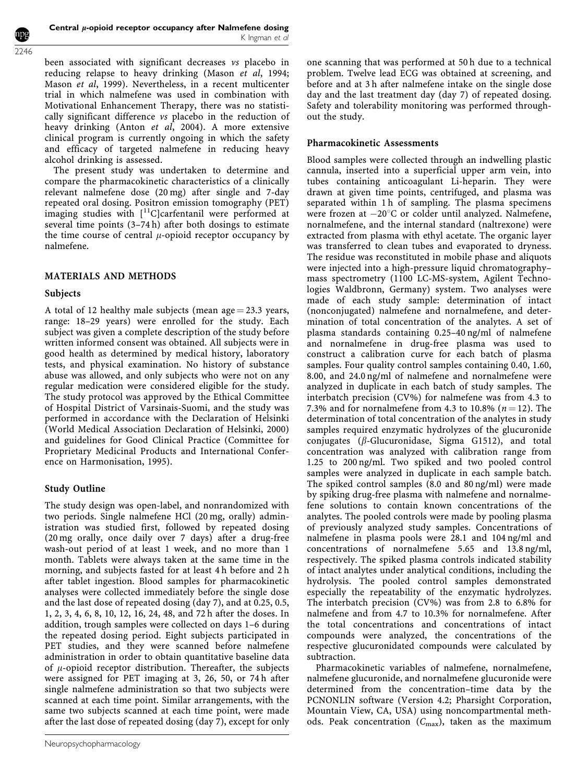been associated with significant decreases vs placebo in reducing relapse to heavy drinking (Mason et al, 1994; Mason et al, 1999). Nevertheless, in a recent multicenter trial in which nalmefene was used in combination with Motivational Enhancement Therapy, there was no statistically significant difference vs placebo in the reduction of heavy drinking (Anton et al, 2004). A more extensive clinical program is currently ongoing in which the safety and efficacy of targeted nalmefene in reducing heavy alcohol drinking is assessed.

The present study was undertaken to determine and compare the pharmacokinetic characteristics of a clinically relevant nalmefene dose (20 mg) after single and 7-day repeated oral dosing. Positron emission tomography (PET) imaging studies with  $[$ <sup>11</sup>C]carfentanil were performed at several time points (3–74 h) after both dosings to estimate the time course of central  $\mu$ -opioid receptor occupancy by nalmefene.

#### MATERIALS AND METHODS

## Subjects

2246

A total of 12 healthy male subjects (mean age  $=$  23.3 years, range: 18–29 years) were enrolled for the study. Each subject was given a complete description of the study before written informed consent was obtained. All subjects were in good health as determined by medical history, laboratory tests, and physical examination. No history of substance abuse was allowed, and only subjects who were not on any regular medication were considered eligible for the study. The study protocol was approved by the Ethical Committee of Hospital District of Varsinais-Suomi, and the study was performed in accordance with the Declaration of Helsinki (World Medical Association Declaration of Helsinki, 2000) and guidelines for Good Clinical Practice (Committee for Proprietary Medicinal Products and International Conference on Harmonisation, 1995).

# Study Outline

The study design was open-label, and nonrandomized with two periods. Single nalmefene HCl (20 mg, orally) administration was studied first, followed by repeated dosing (20 mg orally, once daily over 7 days) after a drug-free wash-out period of at least 1 week, and no more than 1 month. Tablets were always taken at the same time in the morning, and subjects fasted for at least 4 h before and 2 h after tablet ingestion. Blood samples for pharmacokinetic analyses were collected immediately before the single dose and the last dose of repeated dosing (day 7), and at 0.25, 0.5, 1, 2, 3, 4, 6, 8, 10, 12, 16, 24, 48, and 72 h after the doses. In addition, trough samples were collected on days 1–6 during the repeated dosing period. Eight subjects participated in PET studies, and they were scanned before nalmefene administration in order to obtain quantitative baseline data of  $\mu$ -opioid receptor distribution. Thereafter, the subjects were assigned for PET imaging at 3, 26, 50, or 74 h after single nalmefene administration so that two subjects were scanned at each time point. Similar arrangements, with the same two subjects scanned at each time point, were made after the last dose of repeated dosing (day 7), except for only

one scanning that was performed at 50 h due to a technical problem. Twelve lead ECG was obtained at screening, and before and at 3 h after nalmefene intake on the single dose day and the last treatment day (day 7) of repeated dosing. Safety and tolerability monitoring was performed throughout the study.

## Pharmacokinetic Assessments

Blood samples were collected through an indwelling plastic cannula, inserted into a superficial upper arm vein, into tubes containing anticoagulant Li-heparin. They were drawn at given time points, centrifuged, and plasma was separated within 1 h of sampling. The plasma specimens were frozen at  $-20^{\circ}$ C or colder until analyzed. Nalmefene, nornalmefene, and the internal standard (naltrexone) were extracted from plasma with ethyl acetate. The organic layer was transferred to clean tubes and evaporated to dryness. The residue was reconstituted in mobile phase and aliquots were injected into a high-pressure liquid chromatography– mass spectrometry (1100 LC-MS-system, Agilent Technologies Waldbronn, Germany) system. Two analyses were made of each study sample: determination of intact (nonconjugated) nalmefene and nornalmefene, and determination of total concentration of the analytes. A set of plasma standards containing 0.25–40 ng/ml of nalmefene and nornalmefene in drug-free plasma was used to construct a calibration curve for each batch of plasma samples. Four quality control samples containing 0.40, 1.60, 8.00, and 24.0 ng/ml of nalmefene and nornalmefene were analyzed in duplicate in each batch of study samples. The interbatch precision (CV%) for nalmefene was from 4.3 to 7.3% and for nornalmefene from 4.3 to 10.8% ( $n = 12$ ). The determination of total concentration of the analytes in study samples required enzymatic hydrolyzes of the glucuronide conjugates ( $\beta$ -Glucuronidase, Sigma G1512), and total concentration was analyzed with calibration range from 1.25 to 200 ng/ml. Two spiked and two pooled control samples were analyzed in duplicate in each sample batch. The spiked control samples (8.0 and 80 ng/ml) were made by spiking drug-free plasma with nalmefene and nornalmefene solutions to contain known concentrations of the analytes. The pooled controls were made by pooling plasma of previously analyzed study samples. Concentrations of nalmefene in plasma pools were 28.1 and 104 ng/ml and concentrations of nornalmefene 5.65 and 13.8 ng/ml, respectively. The spiked plasma controls indicated stability of intact analytes under analytical conditions, including the hydrolysis. The pooled control samples demonstrated especially the repeatability of the enzymatic hydrolyzes. The interbatch precision (CV%) was from 2.8 to 6.8% for nalmefene and from 4.7 to 10.3% for nornalmefene. After the total concentrations and concentrations of intact compounds were analyzed, the concentrations of the respective glucuronidated compounds were calculated by subtraction.

Pharmacokinetic variables of nalmefene, nornalmefene, nalmefene glucuronide, and nornalmefene glucuronide were determined from the concentration–time data by the PCNONLIN software (Version 4.2; Pharsight Corporation, Mountain View, CA, USA) using noncompartmental methods. Peak concentration  $(C_{\text{max}})$ , taken as the maximum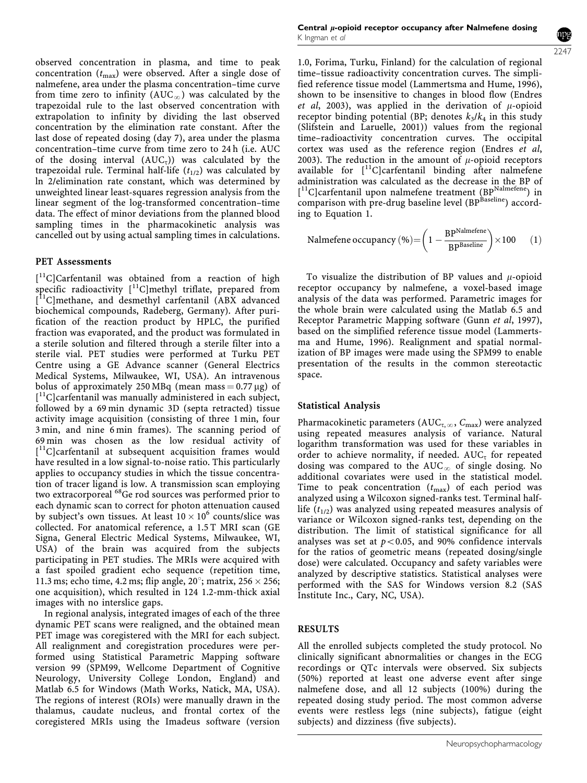observed concentration in plasma, and time to peak concentration  $(t_{\text{max}})$  were observed. After a single dose of nalmefene, area under the plasma concentration–time curve from time zero to infinity  $(AUC_{\infty})$  was calculated by the trapezoidal rule to the last observed concentration with extrapolation to infinity by dividing the last observed concentration by the elimination rate constant. After the last dose of repeated dosing (day 7), area under the plasma concentration–time curve from time zero to 24 h (i.e. AUC of the dosing interval  $(AUC_{\tau})$ ) was calculated by the trapezoidal rule. Terminal half-life  $(t_{1/2})$  was calculated by ln 2/elimination rate constant, which was determined by unweighted linear least-squares regression analysis from the linear segment of the log-transformed concentration–time data. The effect of minor deviations from the planned blood sampling times in the pharmacokinetic analysis was cancelled out by using actual sampling times in calculations.

#### PET Assessments

[ 11C]Carfentanil was obtained from a reaction of high specific radioactivity [<sup>11</sup>C]methyl triflate, prepared from [<sup>11</sup>C]methane, and desmethyl carfentanil (ABX advanced biochemical compounds, Radeberg, Germany). After purification of the reaction product by HPLC, the purified fraction was evaporated, and the product was formulated in a sterile solution and filtered through a sterile filter into a sterile vial. PET studies were performed at Turku PET Centre using a GE Advance scanner (General Electrics Medical Systems, Milwaukee, WI, USA). An intravenous bolus of approximately 250 MBq (mean mass  $= 0.77 \,\mu$ g) of [<sup>11</sup>C]carfentanil was manually administered in each subject, followed by a 69 min dynamic 3D (septa retracted) tissue activity image acquisition (consisting of three 1 min, four 3 min, and nine 6 min frames). The scanning period of 69 min was chosen as the low residual activity of [<sup>11</sup>C]carfentanil at subsequent acquisition frames would have resulted in a low signal-to-noise ratio. This particularly applies to occupancy studies in which the tissue concentration of tracer ligand is low. A transmission scan employing two extracorporeal 68Ge rod sources was performed prior to each dynamic scan to correct for photon attenuation caused by subject's own tissues. At least  $10 \times 10^6$  counts/slice was collected. For anatomical reference, a 1.5 T MRI scan (GE Signa, General Electric Medical Systems, Milwaukee, WI, USA) of the brain was acquired from the subjects participating in PET studies. The MRIs were acquired with a fast spoiled gradient echo sequence (repetition time, 11.3 ms; echo time, 4.2 ms; flip angle,  $20^\circ$ ; matrix,  $256 \times 256$ ; one acquisition), which resulted in 124 1.2-mm-thick axial images with no interslice gaps.

In regional analysis, integrated images of each of the three dynamic PET scans were realigned, and the obtained mean PET image was coregistered with the MRI for each subject. All realignment and coregistration procedures were performed using Statistical Parametric Mapping software version 99 (SPM99, Wellcome Department of Cognitive Neurology, University College London, England) and Matlab 6.5 for Windows (Math Works, Natick, MA, USA). The regions of interest (ROIs) were manually drawn in the thalamus, caudate nucleus, and frontal cortex of the coregistered MRIs using the Imadeus software (version

Central  $\mu$ -opioid receptor occupancy after Nalmefene dosing K Ingman et al

2247

1.0, Forima, Turku, Finland) for the calculation of regional time–tissue radioactivity concentration curves. The simplified reference tissue model (Lammertsma and Hume, 1996), shown to be insensitive to changes in blood flow (Endres et al, 2003), was applied in the derivation of  $\mu$ -opioid receptor binding potential (BP; denotes  $k_3/k_4$  in this study (Slifstein and Laruelle, 2001)) values from the regional time–radioactivity concentration curves. The occipital cortex was used as the reference region (Endres et al, 2003). The reduction in the amount of  $\mu$ -opioid receptors available for  $\lceil$ <sup>11</sup>C]carfentanil binding after nalmefene administration was calculated as the decrease in the BP of [<sup>11</sup>C]carfentanil upon nalmefene treatment (BP<sup>Nalmefene</sup>) in comparison with pre-drug baseline level (BPBaseline) according to Equation 1.

$$
\text{Nalmefene occupancy } (\%){=} \bigg(1-\frac{BP^{\text{Nalmefene}}}{BP^{\text{Baseline}}}\bigg) {\times} 100 \qquad (1)
$$

To visualize the distribution of BP values and  $\mu$ -opioid receptor occupancy by nalmefene, a voxel-based image analysis of the data was performed. Parametric images for the whole brain were calculated using the Matlab 6.5 and Receptor Parametric Mapping software (Gunn et al, 1997), based on the simplified reference tissue model (Lammertsma and Hume, 1996). Realignment and spatial normalization of BP images were made using the SPM99 to enable presentation of the results in the common stereotactic space.

#### Statistical Analysis

Pharmacokinetic parameters ( $AUC_{\tau,\infty}$ ,  $C_{\text{max}}$ ) were analyzed using repeated measures analysis of variance. Natural logarithm transformation was used for these variables in order to achieve normality, if needed.  $AUC_{\tau}$  for repeated dosing was compared to the  $AUC_\infty$  of single dosing. No additional covariates were used in the statistical model. Time to peak concentration  $(t_{\text{max}})$  of each period was analyzed using a Wilcoxon signed-ranks test. Terminal halflife  $(t_{1/2})$  was analyzed using repeated measures analysis of variance or Wilcoxon signed-ranks test, depending on the distribution. The limit of statistical significance for all analyses was set at  $p < 0.05$ , and 90% confidence intervals for the ratios of geometric means (repeated dosing/single dose) were calculated. Occupancy and safety variables were analyzed by descriptive statistics. Statistical analyses were performed with the SAS for Windows version 8.2 (SAS Institute Inc., Cary, NC, USA).

# RESULTS

All the enrolled subjects completed the study protocol. No clinically significant abnormalities or changes in the ECG recordings or QTc intervals were observed. Six subjects (50%) reported at least one adverse event after singe nalmefene dose, and all 12 subjects (100%) during the repeated dosing study period. The most common adverse events were restless legs (nine subjects), fatigue (eight subjects) and dizziness (five subjects).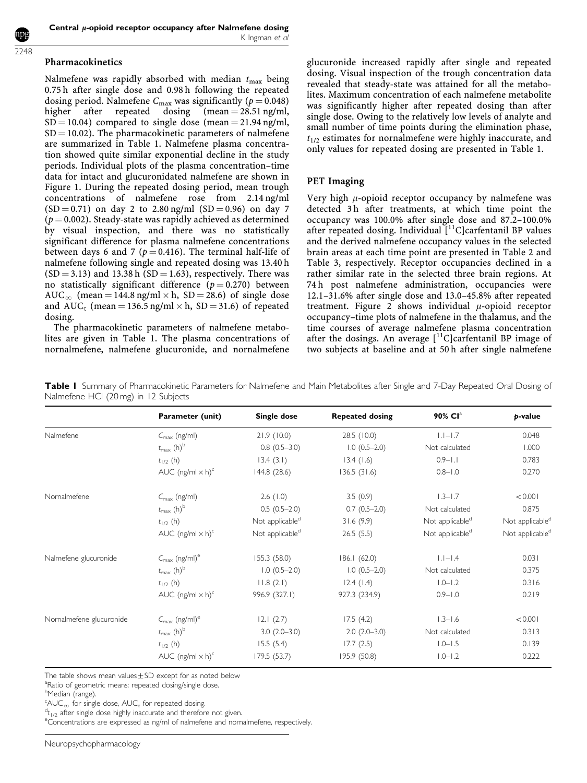#### Pharmacokinetics

Nalmefene was rapidly absorbed with median  $t_{\text{max}}$  being 0.75 h after single dose and 0.98 h following the repeated dosing period. Nalmefene  $C_{\text{max}}$  was significantly ( $p = 0.048$ )<br>higher after repeated dosing (mean = 28.51 ng/ml, repeated dosing (mean =  $28.51$  ng/ml,  $SD = 10.04$ ) compared to single dose (mean = 21.94 ng/ml,  $SD = 10.02$ ). The pharmacokinetic parameters of nalmefene are summarized in Table 1. Nalmefene plasma concentration showed quite similar exponential decline in the study periods. Individual plots of the plasma concentration–time data for intact and glucuronidated nalmefene are shown in Figure 1. During the repeated dosing period, mean trough concentrations of nalmefene rose from 2.14 ng/ml  $(SD = 0.71)$  on day 2 to 2.80 ng/ml  $(SD = 0.96)$  on day 7  $(p = 0.002)$ . Steady-state was rapidly achieved as determined by visual inspection, and there was no statistically significant difference for plasma nalmefene concentrations between days 6 and 7 ( $p = 0.416$ ). The terminal half-life of nalmefene following single and repeated dosing was 13.40 h  $(SD = 3.13)$  and 13.38 h  $(SD = 1.63)$ , respectively. There was no statistically significant difference ( $p = 0.270$ ) between AUC<sub>∞</sub> (mean = 144.8 ng/ml  $\times$  h, SD = 28.6) of single dose and  $AUC_{\tau}$  (mean = 136.5 ng/ml  $\times$  h, SD = 31.6) of repeated dosing.

The pharmacokinetic parameters of nalmefene metabolites are given in Table 1. The plasma concentrations of nornalmefene, nalmefene glucuronide, and nornalmefene

glucuronide increased rapidly after single and repeated dosing. Visual inspection of the trough concentration data revealed that steady-state was attained for all the metabolites. Maximum concentration of each nalmefene metabolite was significantly higher after repeated dosing than after single dose. Owing to the relatively low levels of analyte and small number of time points during the elimination phase,  $t_{1/2}$  estimates for nornalmefene were highly inaccurate, and only values for repeated dosing are presented in Table 1.

# PET Imaging

Very high  $\mu$ -opioid receptor occupancy by nalmefene was detected 3h after treatments, at which time point the occupancy was 100.0% after single dose and 87.2–100.0% after repeated dosing. Individual [<sup>11</sup>C]carfentanil BP values and the derived nalmefene occupancy values in the selected brain areas at each time point are presented in Table 2 and Table 3, respectively. Receptor occupancies declined in a rather similar rate in the selected three brain regions. At 74 h post nalmefene administration, occupancies were 12.1–31.6% after single dose and 13.0–45.8% after repeated treatment. Figure 2 shows individual  $\mu$ -opioid receptor occupancy–time plots of nalmefene in the thalamus, and the time courses of average nalmefene plasma concentration after the dosings. An average  $[$ <sup>11</sup>C]carfentanil BP image of two subjects at baseline and at 50 h after single nalmefene

Table I Summary of Pharmacokinetic Parameters for Nalmefene and Main Metabolites after Single and 7-Day Repeated Oral Dosing of Nalmefene HCl (20 mg) in 12 Subjects

|                          | Parameter (unit)                                       | Single dose                 | <b>Repeated dosing</b> | 90% Cl <sup>a</sup>         | p-value                     |
|--------------------------|--------------------------------------------------------|-----------------------------|------------------------|-----------------------------|-----------------------------|
| Nalmefene                | $C_{\text{max}}$ (ng/ml)                               | 21.9(10.0)                  | 28.5 (10.0)            | $ . -1.7$                   | 0.048                       |
|                          | $t_{\text{max}}$ (h) <sup>b</sup>                      | $0.8$ $(0.5-3.0)$           | $1.0(0.5-2.0)$         | Not calculated              | 1.000                       |
|                          | $t_{1/2}$ (h)                                          | 13.4(3.1)                   | 13.4(1.6)              | $0.9 - 1.1$                 | 0.783                       |
|                          | AUC $(ng/ml \times h)^c$                               | 144.8(28.6)                 | 136.5(31.6)            | $0.8 - 1.0$                 | 0.270                       |
| Nornalmefene             | $C_{\text{max}}$ (ng/ml)                               | 2.6(1.0)                    | 3.5(0.9)               | $1.3 - 1.7$                 | < 0.001                     |
|                          | $t_{\text{max}}$ (h) <sup>b</sup>                      | $0.5(0.5-2.0)$              | $0.7(0.5-2.0)$         | Not calculated              | 0.875                       |
|                          | $t_{1/2}$ (h)                                          | Not applicable <sup>d</sup> | 31.6(9.9)              | Not applicable <sup>d</sup> | Not applicable <sup>d</sup> |
|                          | AUC $(ng/ml \times h)^c$                               | Not applicable <sup>d</sup> | 26.5(5.5)              | Not applicable <sup>d</sup> | Not applicable <sup>d</sup> |
| Nalmefene glucuronide    | $C_{\text{max}}$ (ng/ml) <sup>e</sup>                  | 155.3(58.0)                 | 186.1(62.0)            | $ . - .4$                   | 0.031                       |
|                          | $t_{\text{max}}$ (h) <sup>b</sup>                      | $1.0(0.5-2.0)$              | $1.0(0.5-2.0)$         | Not calculated              | 0.375                       |
|                          | $t_{1/2}$ (h)                                          | 11.8(2.1)                   | 12.4(1.4)              | $1.0 - 1.2$                 | 0.316                       |
|                          | AUC $(ng/ml \times h)^c$                               | 996.9 (327.1)               | 927.3 (234.9)          | $0.9 - 1.0$                 | 0.219                       |
| Nornalmefene glucuronide | $C_{\text{max}}$ (ng/ml) <sup>e</sup>                  | 12.1(2.7)                   | 17.5(4.2)              | $1.3 - 1.6$                 | < 0.001                     |
|                          | $t_{\mathsf{max}}\left(\mathsf{h}\right)^{\mathsf{b}}$ | $3.0(2.0-3.0)$              | $2.0(2.0-3.0)$         | Not calculated              | 0.313                       |
|                          | $t_{1/2}$ (h)                                          | 15.5(5.4)                   | 17.7(2.5)              | $1.0 - 1.5$                 | 0.139                       |
|                          | AUC $(ng/ml \times h)^c$                               | 179.5 (53.7)                | 195.9 (50.8)           | $1.0 - 1.2$                 | 0.222                       |

The table shows mean values $\pm$ SD except for as noted below

<sup>a</sup>Ratio of geometric means: repeated dosing/single dose.

 $t_{1/2}$  after single dose highly inaccurate and therefore not given.

<sup>e</sup>Concentrations are expressed as ng/ml of nalmefene and nornalmefene, respectively.

<sup>&</sup>lt;sup>b</sup>Median (range).

 ${}^{\text{c}}$ AUC<sub>∞</sub> for single dose, AUC<sub>t</sub> for repeated dosing.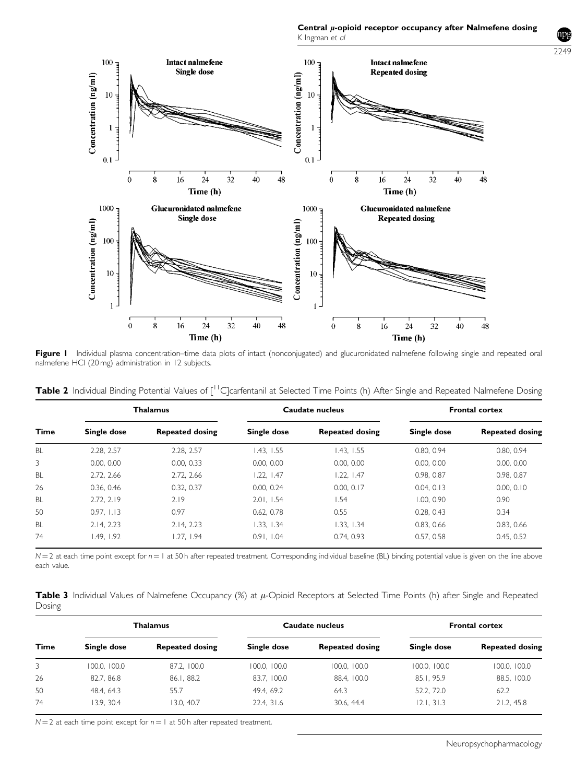Central  $\mu$ -opioid receptor occupancy after Nalmefene dosing K Ingman et al



Figure I Individual plasma concentration–time data plots of intact (nonconjugated) and glucuronidated nalmefene following single and repeated oral nalmefene HCl (20 mg) administration in 12 subjects.

|  |  |  |  |  |  |  |  | Table 2 Individual Binding Potential Values of [ <sup>11</sup> C]carfentanil at Selected Time Points (h) After Single and Repeated Nalmefene Dosing |  |
|--|--|--|--|--|--|--|--|-----------------------------------------------------------------------------------------------------------------------------------------------------|--|
|--|--|--|--|--|--|--|--|-----------------------------------------------------------------------------------------------------------------------------------------------------|--|

| <b>Time</b> | <b>Thalamus</b> |                        | Caudate nucleus |                        | <b>Frontal cortex</b> |                        |
|-------------|-----------------|------------------------|-----------------|------------------------|-----------------------|------------------------|
|             | Single dose     | <b>Repeated dosing</b> | Single dose     | <b>Repeated dosing</b> | Single dose           | <b>Repeated dosing</b> |
| <b>BL</b>   | 2.28. 2.57      | 2.28. 2.57             | 1.43. 1.55      | 1.43. 1.55             | 0.80, 0.94            | 0.80, 0.94             |
| 3           | 0.00, 0.00      | 0.00, 0.33             | 0.00, 0.00      | 0.00, 0.00             | 0.00, 0.00            | 0.00, 0.00             |
| <b>BL</b>   | 2.72. 2.66      | 2.72. 2.66             | 1.22, 1.47      | 1.22.1.47              | 0.98, 0.87            | 0.98, 0.87             |
| 26          | 0.36, 0.46      | 0.32, 0.37             | 0.00, 0.24      | 0.00.017               | 0.04.0.13             | 0.00, 0.10             |
| <b>BL</b>   | 2.72. 2.19      | 2.19                   | 2.01.1.54       | 1.54                   | 1.00.0.90             | 0.90                   |
| 50          | 0.97. 1.13      | 0.97                   | 0.62.0.78       | 0.55                   | 0.28.0.43             | 0.34                   |
| <b>BL</b>   | 2.14.2.23       | 2.14.2.23              | 1.33. 1.34      | 1.33. 1.34             | 0.83, 0.66            | 0.83.0.66              |
| 74          | 1.49. 1.92      | .27.1.94               | 0.91.1.04       | 0.74, 0.93             | 0.57, 0.58            | 0.45, 0.52             |

 $N = 2$  at each time point except for  $n = 1$  at 50 h after repeated treatment. Corresponding individual baseline (BL) binding potential value is given on the line above each value.

Table 3 Individual Values of Nalmefene Occupancy  $\%$  at  $\mu$ -Opioid Receptors at Selected Time Points (h) after Single and Repeated Dosing

| Time | <b>Thalamus</b> |                        | Caudate nucleus |                        | <b>Frontal cortex</b> |                        |
|------|-----------------|------------------------|-----------------|------------------------|-----------------------|------------------------|
|      | Single dose     | <b>Repeated dosing</b> | Single dose     | <b>Repeated dosing</b> | Single dose           | <b>Repeated dosing</b> |
| 3    | 100.0, 100.0    | 87.2. 100.0            | 100.0, 100.0    | 100.0, 100.0           | 100.0, 100.0          | 100.0, 100.0           |
| 26   | 82.7.86.8       | 86.1, 88.2             | 83.7.100.0      | 88.4. 100.0            | 85.1.95.9             | 88.5, 100.0            |
| 50   | 48.4, 64.3      | 55.7                   | 49.4, 69.2      | 64.3                   | 52.2, 72.0            | 62.2                   |
| 74   | 3.9.30.4        | 13.0.40.7              | 22.4, 31.6      | 30.6.44.4              | 12.1.31.3             | 21.2, 45.8             |

 $N = 2$  at each time point except for  $n = 1$  at 50 h after repeated treatment.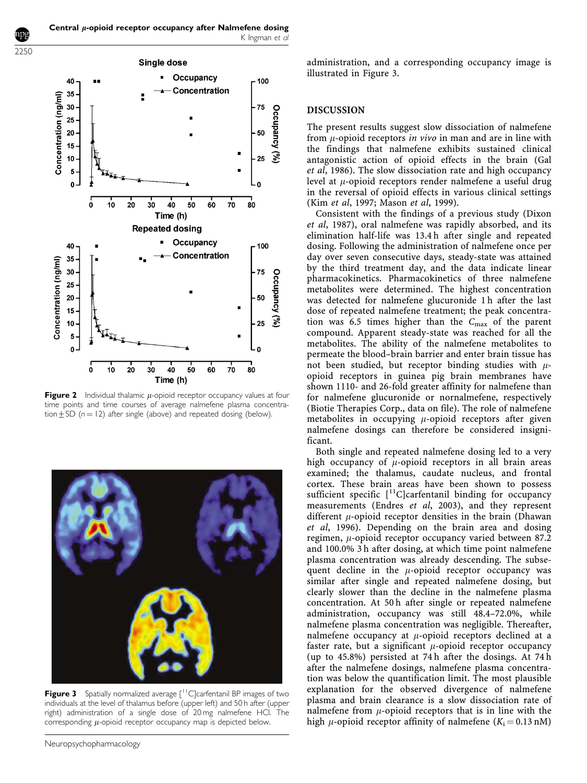2250



Figure 2 Individual thalamic  $\mu$ -opioid receptor occupancy values at four time points and time courses of average nalmefene plasma concentration $\pm$ SD (n = 12) after single (above) and repeated dosing (below).



**Figure 3** Spatially normalized average  $\int_0^{11}$ C carfentanil BP images of two individuals at the level of thalamus before (upper left) and 50 h after (upper right) administration of a single dose of 20 mg nalmefene HCl. The corresponding  $\mu$ -opioid receptor occupancy map is depicted below.

administration, and a corresponding occupancy image is illustrated in Figure 3.

#### DISCUSSION

The present results suggest slow dissociation of nalmefene from  $\mu$ -opioid receptors in vivo in man and are in line with the findings that nalmefene exhibits sustained clinical antagonistic action of opioid effects in the brain (Gal et al, 1986). The slow dissociation rate and high occupancy level at  $\mu$ -opioid receptors render nalmefene a useful drug in the reversal of opioid effects in various clinical settings (Kim et al, 1997; Mason et al, 1999).

Consistent with the findings of a previous study (Dixon et al, 1987), oral nalmefene was rapidly absorbed, and its elimination half-life was 13.4 h after single and repeated dosing. Following the administration of nalmefene once per day over seven consecutive days, steady-state was attained by the third treatment day, and the data indicate linear pharmacokinetics. Pharmacokinetics of three nalmefene metabolites were determined. The highest concentration was detected for nalmefene glucuronide 1 h after the last dose of repeated nalmefene treatment; the peak concentration was  $6.5$  times higher than the  $C_{\text{max}}$  of the parent compound. Apparent steady-state was reached for all the metabolites. The ability of the nalmefene metabolites to permeate the blood–brain barrier and enter brain tissue has not been studied, but receptor binding studies with  $\mu$ opioid receptors in guinea pig brain membranes have shown 1110- and 26-fold greater affinity for nalmefene than for nalmefene glucuronide or nornalmefene, respectively (Biotie Therapies Corp., data on file). The role of nalmefene metabolites in occupying  $\mu$ -opioid receptors after given nalmefene dosings can therefore be considered insignificant.

Both single and repeated nalmefene dosing led to a very high occupancy of  $\mu$ -opioid receptors in all brain areas examined; the thalamus, caudate nucleus, and frontal cortex. These brain areas have been shown to possess sufficient specific  $\int_1^{11}C \vert \text{carfentanil binding for occupancy}$ measurements (Endres et al, 2003), and they represent different  $\mu$ -opioid receptor densities in the brain (Dhawan et al, 1996). Depending on the brain area and dosing regimen,  $\mu$ -opioid receptor occupancy varied between 87.2 and 100.0% 3 h after dosing, at which time point nalmefene plasma concentration was already descending. The subsequent decline in the  $\mu$ -opioid receptor occupancy was similar after single and repeated nalmefene dosing, but clearly slower than the decline in the nalmefene plasma concentration. At 50 h after single or repeated nalmefene administration, occupancy was still 48.4–72.0%, while nalmefene plasma concentration was negligible. Thereafter, nalmefene occupancy at  $\mu$ -opioid receptors declined at a faster rate, but a significant  $\mu$ -opioid receptor occupancy (up to 45.8%) persisted at 74 h after the dosings. At 74 h after the nalmefene dosings, nalmefene plasma concentration was below the quantification limit. The most plausible explanation for the observed divergence of nalmefene plasma and brain clearance is a slow dissociation rate of nalmefene from  $\mu$ -opioid receptors that is in line with the high  $\mu$ -opioid receptor affinity of nalmefene (K<sub>i</sub> = 0.13 nM)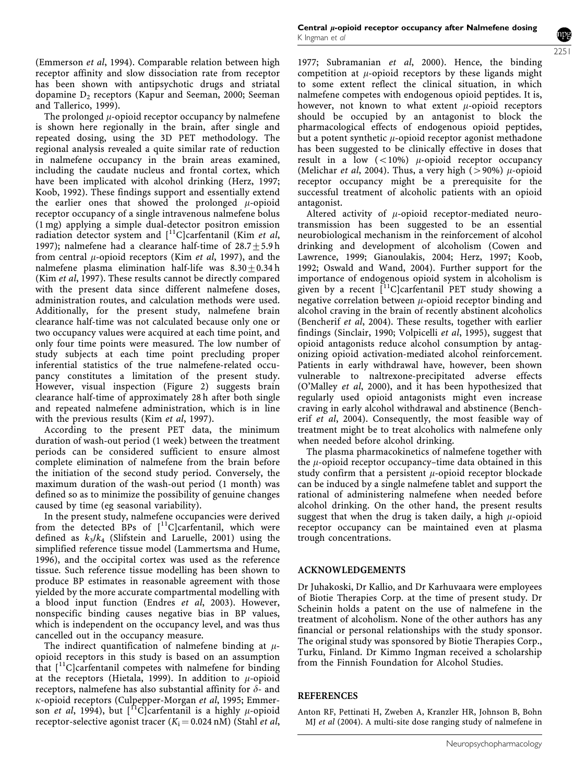(Emmerson et al, 1994). Comparable relation between high receptor affinity and slow dissociation rate from receptor has been shown with antipsychotic drugs and striatal dopamine  $D_2$  receptors (Kapur and Seeman, 2000; Seeman and Tallerico, 1999).

The prolonged  $\mu$ -opioid receptor occupancy by nalmefene is shown here regionally in the brain, after single and repeated dosing, using the 3D PET methodology. The regional analysis revealed a quite similar rate of reduction in nalmefene occupancy in the brain areas examined, including the caudate nucleus and frontal cortex, which have been implicated with alcohol drinking (Herz, 1997; Koob, 1992). These findings support and essentially extend the earlier ones that showed the prolonged  $\mu$ -opioid receptor occupancy of a single intravenous nalmefene bolus (1 mg) applying a simple dual-detector positron emission radiation detector system and  $[{}^{11}C]$ carfentanil (Kim et al, 1997); nalmefene had a clearance half-time of  $28.7 + 5.9$  h from central  $\mu$ -opioid receptors (Kim *et al*, 1997), and the nalmefene plasma elimination half-life was  $8.30 + 0.34$  h (Kim et al, 1997). These results cannot be directly compared with the present data since different nalmefene doses, administration routes, and calculation methods were used. Additionally, for the present study, nalmefene brain clearance half-time was not calculated because only one or two occupancy values were acquired at each time point, and only four time points were measured. The low number of study subjects at each time point precluding proper inferential statistics of the true nalmefene-related occupancy constitutes a limitation of the present study. However, visual inspection (Figure 2) suggests brain clearance half-time of approximately 28 h after both single and repeated nalmefene administration, which is in line with the previous results (Kim et al, 1997).

According to the present PET data, the minimum duration of wash-out period (1 week) between the treatment periods can be considered sufficient to ensure almost complete elimination of nalmefene from the brain before the initiation of the second study period. Conversely, the maximum duration of the wash-out period (1 month) was defined so as to minimize the possibility of genuine changes caused by time (eg seasonal variability).

In the present study, nalmefene occupancies were derived from the detected BPs of  $[^{11}C]$ carfentanil, which were defined as  $k_3/k_4$  (Slifstein and Laruelle, 2001) using the simplified reference tissue model (Lammertsma and Hume, 1996), and the occipital cortex was used as the reference tissue. Such reference tissue modelling has been shown to produce BP estimates in reasonable agreement with those yielded by the more accurate compartmental modelling with a blood input function (Endres et al, 2003). However, nonspecific binding causes negative bias in BP values, which is independent on the occupancy level, and was thus cancelled out in the occupancy measure.

The indirect quantification of nalmefene binding at  $\mu$ opioid receptors in this study is based on an assumption that  $\lceil$ <sup>11</sup>C]carfentanil competes with nalmefene for binding at the receptors (Hietala, 1999). In addition to  $\mu$ -opioid receptors, nalmefene has also substantial affinity for  $\delta$ - and  $\kappa$ -opioid receptors (Culpepper-Morgan et al, 1995; Emmerson et al, 1994), but  $\int_0^1 C \cdot \text{C}$ carfentanil is a highly  $\mu$ -opioid receptor-selective agonist tracer  $(K_i = 0.024 \text{ nM})$  (Stahl et al,

1977; Subramanian et al, 2000). Hence, the binding competition at  $\mu$ -opioid receptors by these ligands might to some extent reflect the clinical situation, in which nalmefene competes with endogenous opioid peptides. It is, however, not known to what extent  $\mu$ -opioid receptors should be occupied by an antagonist to block the pharmacological effects of endogenous opioid peptides, but a potent synthetic  $\mu$ -opioid receptor agonist methadone has been suggested to be clinically effective in doses that result in a low  $(<10\%)$   $\mu$ -opioid receptor occupancy (Melichar *et al*, 2004). Thus, a very high ( $>90\%$ )  $\mu$ -opioid receptor occupancy might be a prerequisite for the successful treatment of alcoholic patients with an opioid antagonist.

Altered activity of  $\mu$ -opioid receptor-mediated neurotransmission has been suggested to be an essential neurobiological mechanism in the reinforcement of alcohol drinking and development of alcoholism (Cowen and Lawrence, 1999; Gianoulakis, 2004; Herz, 1997; Koob, 1992; Oswald and Wand, 2004). Further support for the importance of endogenous opioid system in alcoholism is given by a recent  $\int_1^{11}$ C]carfentanil PET study showing a negative correlation between  $\mu$ -opioid receptor binding and alcohol craving in the brain of recently abstinent alcoholics (Bencherif et al, 2004). These results, together with earlier findings (Sinclair, 1990; Volpicelli et al, 1995), suggest that opioid antagonists reduce alcohol consumption by antagonizing opioid activation-mediated alcohol reinforcement. Patients in early withdrawal have, however, been shown vulnerable to naltrexone-precipitated adverse effects (O'Malley et al, 2000), and it has been hypothesized that regularly used opioid antagonists might even increase craving in early alcohol withdrawal and abstinence (Bencherif et al, 2004). Consequently, the most feasible way of treatment might be to treat alcoholics with nalmefene only when needed before alcohol drinking.

The plasma pharmacokinetics of nalmefene together with the  $\mu$ -opioid receptor occupancy–time data obtained in this study confirm that a persistent  $\mu$ -opioid receptor blockade can be induced by a single nalmefene tablet and support the rational of administering nalmefene when needed before alcohol drinking. On the other hand, the present results suggest that when the drug is taken daily, a high  $\mu$ -opioid receptor occupancy can be maintained even at plasma trough concentrations.

#### ACKNOWLEDGEMENTS

Dr Juhakoski, Dr Kallio, and Dr Karhuvaara were employees of Biotie Therapies Corp. at the time of present study. Dr Scheinin holds a patent on the use of nalmefene in the treatment of alcoholism. None of the other authors has any financial or personal relationships with the study sponsor. The original study was sponsored by Biotie Therapies Corp., Turku, Finland. Dr Kimmo Ingman received a scholarship from the Finnish Foundation for Alcohol Studies.

#### REFERENCES

Anton RF, Pettinati H, Zweben A, Kranzler HR, Johnson B, Bohn MJ et al (2004). A multi-site dose ranging study of nalmefene in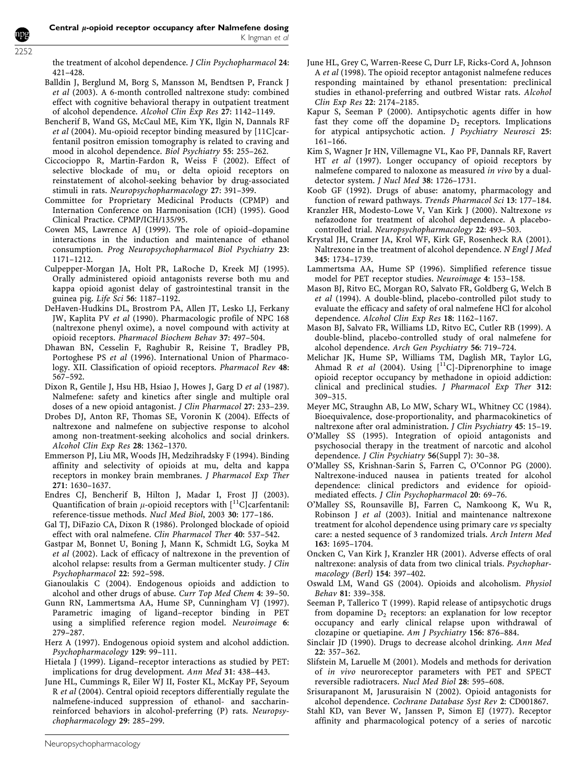2252

the treatment of alcohol dependence. *J Clin Psychopharmacol* 24: 421–428.

- Balldin J, Berglund M, Borg S, Mansson M, Bendtsen P, Franck J et al (2003). A 6-month controlled naltrexone study: combined effect with cognitive behavioral therapy in outpatient treatment of alcohol dependence. Alcohol Clin Exp Res 27: 1142–1149.
- Bencherif B, Wand GS, McCaul ME, Kim YK, Ilgin N, Dannals RF et al (2004). Mu-opioid receptor binding measured by [11C]carfentanil positron emission tomography is related to craving and mood in alcohol dependence. Biol Psychiatry 55: 255–262.
- Ciccocioppo R, Martin-Fardon R, Weiss F (2002). Effect of selective blockade of  $mu_1$  or delta opioid receptors on reinstatement of alcohol-seeking behavior by drug-associated stimuli in rats. Neuropsychopharmacology 27: 391–399.
- Committee for Proprietary Medicinal Products (CPMP) and Internation Conference on Harmonisation (ICH) (1995). Good Clinical Practice. CPMP/ICH/135/95.
- Cowen MS, Lawrence AJ (1999). The role of opioid–dopamine interactions in the induction and maintenance of ethanol consumption. Prog Neuropsychopharmacol Biol Psychiatry 23: 1171–1212.
- Culpepper-Morgan JA, Holt PR, LaRoche D, Kreek MJ (1995). Orally administered opioid antagonists reverse both mu and kappa opioid agonist delay of gastrointestinal transit in the guinea pig. Life Sci 56: 1187–1192.
- DeHaven-Hudkins DL, Brostrom PA, Allen JT, Lesko LJ, Ferkany JW, Kaplita PV et al (1990). Pharmacologic profile of NPC 168 (naltrexone phenyl oxime), a novel compound with activity at opioid receptors. Pharmacol Biochem Behav 37: 497–504.
- Dhawan BN, Cesselin F, Raghubir R, Reisine T, Bradley PB, Portoghese PS et al (1996). International Union of Pharmacology. XII. Classification of opioid receptors. Pharmacol Rev 48: 567–592.
- Dixon R, Gentile J, Hsu HB, Hsiao J, Howes J, Garg D et al (1987). Nalmefene: safety and kinetics after single and multiple oral doses of a new opioid antagonist. J Clin Pharmacol 27: 233–239.
- Drobes DJ, Anton RF, Thomas SE, Voronin K (2004). Effects of naltrexone and nalmefene on subjective response to alcohol among non-treatment-seeking alcoholics and social drinkers. Alcohol Clin Exp Res 28: 1362–1370.
- Emmerson PJ, Liu MR, Woods JH, Medzihradsky F (1994). Binding affinity and selectivity of opioids at mu, delta and kappa receptors in monkey brain membranes. J Pharmacol Exp Ther 271: 1630–1637.
- Endres CJ, Bencherif B, Hilton J, Madar I, Frost JJ (2003). Quantification of brain  $\mu$ -opioid receptors with [<sup>11</sup>C]carfentanil: reference-tissue methods. Nucl Med Biol, 2003 30: 177–186.
- Gal TJ, DiFazio CA, Dixon R (1986). Prolonged blockade of opioid effect with oral nalmefene. Clin Pharmacol Ther 40: 537–542.
- Gastpar M, Bonnet U, Boning J, Mann K, Schmidt LG, Soyka M et al (2002). Lack of efficacy of naltrexone in the prevention of alcohol relapse: results from a German multicenter study. J Clin Psychopharmacol 22: 592–598.
- Gianoulakis C (2004). Endogenous opioids and addiction to alcohol and other drugs of abuse. Curr Top Med Chem 4: 39–50.
- Gunn RN, Lammertsma AA, Hume SP, Cunningham VJ (1997). Parametric imaging of ligand–receptor binding in PET using a simplified reference region model. Neuroimage 6: 279–287.
- Herz A (1997). Endogenous opioid system and alcohol addiction. Psychopharmacology 129: 99–111.
- Hietala J (1999). Ligand–receptor interactions as studied by PET: implications for drug development. Ann Med 31: 438–443.
- June HL, Cummings R, Eiler WJ II, Foster KL, McKay PF, Seyoum R et al (2004). Central opioid receptors differentially regulate the nalmefene-induced suppression of ethanol- and saccharinreinforced behaviors in alcohol-preferring (P) rats. Neuropsychopharmacology 29: 285–299.
- June HL, Grey C, Warren-Reese C, Durr LF, Ricks-Cord A, Johnson A et al (1998). The opioid receptor antagonist nalmefene reduces responding maintained by ethanol presentation: preclinical studies in ethanol-preferring and outbred Wistar rats. Alcohol Clin Exp Res 22: 2174–2185.
- Kapur S, Seeman P (2000). Antipsychotic agents differ in how fast they come off the dopamine  $D_2$  receptors. Implications for atypical antipsychotic action. J Psychiatry Neurosci 25: 161–166.
- Kim S, Wagner Jr HN, Villemagne VL, Kao PF, Dannals RF, Ravert HT et al (1997). Longer occupancy of opioid receptors by nalmefene compared to naloxone as measured in vivo by a dualdetector system. J Nucl Med 38: 1726–1731.
- Koob GF (1992). Drugs of abuse: anatomy, pharmacology and function of reward pathways. Trends Pharmacol Sci 13: 177–184.
- Kranzler HR, Modesto-Lowe V, Van Kirk J (2000). Naltrexone vs nefazodone for treatment of alcohol dependence. A placebocontrolled trial. Neuropsychopharmacology 22: 493–503.
- Krystal JH, Cramer JA, Krol WF, Kirk GF, Rosenheck RA (2001). Naltrexone in the treatment of alcohol dependence. N Engl J Med 345: 1734–1739.
- Lammertsma AA, Hume SP (1996). Simplified reference tissue model for PET receptor studies. Neuroimage 4: 153–158.
- Mason BJ, Ritvo EC, Morgan RO, Salvato FR, Goldberg G, Welch B et al (1994). A double-blind, placebo-controlled pilot study to evaluate the efficacy and safety of oral nalmefene HCl for alcohol dependence. Alcohol Clin Exp Res 18: 1162–1167.
- Mason BJ, Salvato FR, Williams LD, Ritvo EC, Cutler RB (1999). A double-blind, placebo-controlled study of oral nalmefene for alcohol dependence. Arch Gen Psychiatry 56: 719–724.
- Melichar JK, Hume SP, Williams TM, Daglish MR, Taylor LG, Ahmad R et al (2004). Using  $[$ <sup>11</sup>C]-Diprenorphine to image opioid receptor occupancy by methadone in opioid addiction: clinical and preclinical studies. J Pharmacol Exp Ther 312: 309–315.
- Meyer MC, Straughn AB, Lo MW, Schary WL, Whitney CC (1984). Bioequivalence, dose-proportionality, and pharmacokinetics of naltrexone after oral administration. J Clin Psychiatry 45: 15–19.
- O'Malley SS (1995). Integration of opioid antagonists and psychosocial therapy in the treatment of narcotic and alcohol dependence. J Clin Psychiatry 56(Suppl 7): 30–38.
- O'Malley SS, Krishnan-Sarin S, Farren C, O'Connor PG (2000). Naltrexone-induced nausea in patients treated for alcohol dependence: clinical predictors and evidence for opioidmediated effects. J Clin Psychopharmacol 20: 69–76.
- O'Malley SS, Rounsaville BJ, Farren C, Namkoong K, Wu R, Robinson J et al (2003). Initial and maintenance naltrexone treatment for alcohol dependence using primary care vs specialty care: a nested sequence of 3 randomized trials. Arch Intern Med 163: 1695–1704.
- Oncken C, Van Kirk J, Kranzler HR (2001). Adverse effects of oral naltrexone: analysis of data from two clinical trials. Psychopharmacology (Berl) 154: 397–402.
- Oswald LM, Wand GS (2004). Opioids and alcoholism. Physiol Behav 81: 339–358.
- Seeman P, Tallerico T (1999). Rapid release of antipsychotic drugs from dopamine  $D<sub>2</sub>$  receptors: an explanation for low receptor occupancy and early clinical relapse upon withdrawal of clozapine or quetiapine. Am J Psychiatry 156: 876–884.
- Sinclair JD (1990). Drugs to decrease alcohol drinking. Ann Med 22: 357–362.
- Slifstein M, Laruelle M (2001). Models and methods for derivation of *in vivo* neuroreceptor parameters with PET and SPECT reversible radiotracers. Nucl Med Biol 28: 595-608.
- Srisurapanont M, Jarusuraisin N (2002). Opioid antagonists for alcohol dependence. Cochrane Database Syst Rev 2: CD001867.
- Stahl KD, van Bever W, Janssen P, Simon EJ (1977). Receptor affinity and pharmacological potency of a series of narcotic